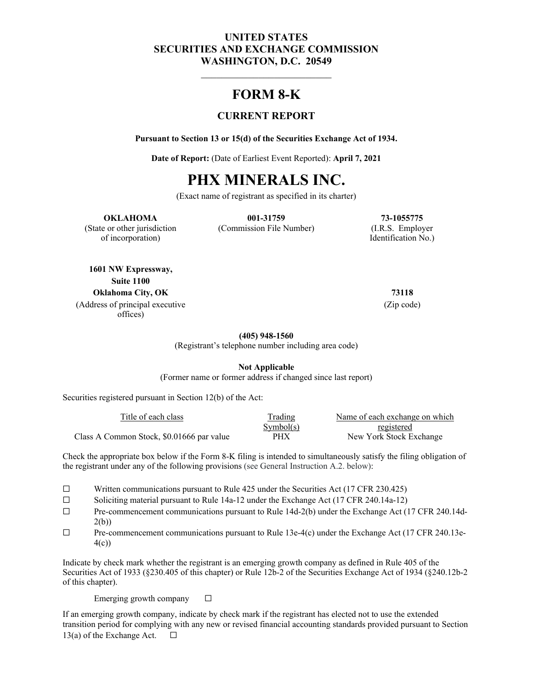#### **UNITED STATES SECURITIES AND EXCHANGE COMMISSION WASHINGTON, D.C. 20549**

## **FORM 8-K**

#### **CURRENT REPORT**

**Pursuant to Section 13 or 15(d) of the Securities Exchange Act of 1934.** 

**Date of Report:** (Date of Earliest Event Reported): **April 7, 2021** 

# **PHX MINERALS INC.**

(Exact name of registrant as specified in its charter)

#### **OKLAHOMA 001-31759 73-1055775**

(State or other jurisdiction (Commission File Number) (I.R.S. Employer

of incorporation) Identification No.)

**1601 NW Expressway, Suite 1100 Oklahoma City, OK 73118** (Address of principal executive offices)

(Zip code)

**(405) 948-1560**

(Registrant's telephone number including area code)

**Not Applicable**

(Former name or former address if changed since last report)

Securities registered pursuant in Section 12(b) of the Act:

| Title of each class                       | Trading    | Name of each exchange on which |
|-------------------------------------------|------------|--------------------------------|
|                                           | Symbol(s)  | registered                     |
| Class A Common Stock, \$0.01666 par value | <b>PHX</b> | New York Stock Exchange        |

Check the appropriate box below if the Form 8-K filing is intended to simultaneously satisfy the filing obligation of the registrant under any of the following provisions (see General Instruction A.2. below):

- ☐ Written communications pursuant to Rule 425 under the Securities Act (17 CFR 230.425)
- ☐ Soliciting material pursuant to Rule 14a-12 under the Exchange Act (17 CFR 240.14a-12)
- ☐ Pre-commencement communications pursuant to Rule 14d-2(b) under the Exchange Act (17 CFR 240.14d-2(b))
- $\Box$  Pre-commencement communications pursuant to Rule 13e-4(c) under the Exchange Act (17 CFR 240.13e-4(c))

Indicate by check mark whether the registrant is an emerging growth company as defined in Rule 405 of the Securities Act of 1933 (§230.405 of this chapter) or Rule 12b-2 of the Securities Exchange Act of 1934 (§240.12b-2 of this chapter).

Emerging growth company  $\Box$ 

If an emerging growth company, indicate by check mark if the registrant has elected not to use the extended transition period for complying with any new or revised financial accounting standards provided pursuant to Section 13(a) of the Exchange Act.  $\Box$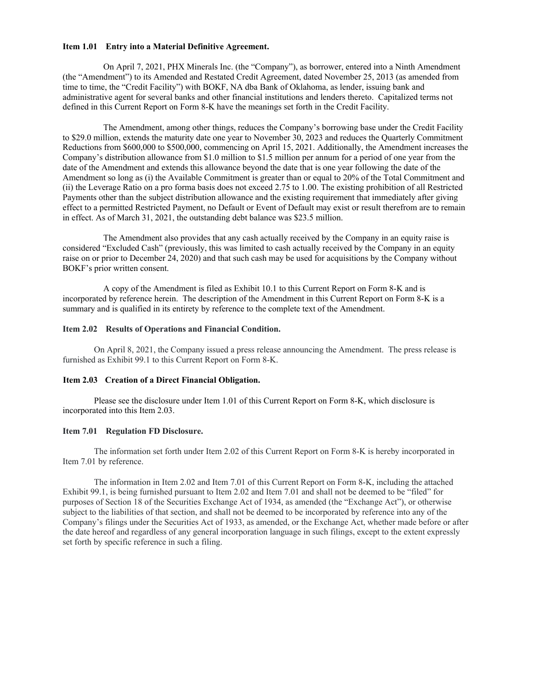#### **Item 1.01 Entry into a Material Definitive Agreement.**

On April 7, 2021, PHX Minerals Inc. (the "Company"), as borrower, entered into a Ninth Amendment (the "Amendment") to its Amended and Restated Credit Agreement, dated November 25, 2013 (as amended from time to time, the "Credit Facility") with BOKF, NA dba Bank of Oklahoma, as lender, issuing bank and administrative agent for several banks and other financial institutions and lenders thereto. Capitalized terms not defined in this Current Report on Form 8-K have the meanings set forth in the Credit Facility.

The Amendment, among other things, reduces the Company's borrowing base under the Credit Facility to \$29.0 million, extends the maturity date one year to November 30, 2023 and reduces the Quarterly Commitment Reductions from \$600,000 to \$500,000, commencing on April 15, 2021. Additionally, the Amendment increases the Company's distribution allowance from \$1.0 million to \$1.5 million per annum for a period of one year from the date of the Amendment and extends this allowance beyond the date that is one year following the date of the Amendment so long as (i) the Available Commitment is greater than or equal to 20% of the Total Commitment and (ii) the Leverage Ratio on a pro forma basis does not exceed 2.75 to 1.00. The existing prohibition of all Restricted Payments other than the subject distribution allowance and the existing requirement that immediately after giving effect to a permitted Restricted Payment, no Default or Event of Default may exist or result therefrom are to remain in effect. As of March 31, 2021, the outstanding debt balance was \$23.5 million.

The Amendment also provides that any cash actually received by the Company in an equity raise is considered "Excluded Cash" (previously, this was limited to cash actually received by the Company in an equity raise on or prior to December 24, 2020) and that such cash may be used for acquisitions by the Company without BOKF's prior written consent.

A copy of the Amendment is filed as Exhibit 10.1 to this Current Report on Form 8-K and is incorporated by reference herein. The description of the Amendment in this Current Report on Form 8-K is a summary and is qualified in its entirety by reference to the complete text of the Amendment.

#### **Item 2.02 Results of Operations and Financial Condition.**

On April 8, 2021, the Company issued a press release announcing the Amendment. The press release is furnished as Exhibit 99.1 to this Current Report on Form 8-K.

#### **Item 2.03 Creation of a Direct Financial Obligation.**

Please see the disclosure under Item 1.01 of this Current Report on Form 8-K, which disclosure is incorporated into this Item 2.03.

#### **Item 7.01 Regulation FD Disclosure.**

The information set forth under Item 2.02 of this Current Report on Form 8-K is hereby incorporated in Item 7.01 by reference.

The information in Item 2.02 and Item 7.01 of this Current Report on Form 8-K, including the attached Exhibit 99.1, is being furnished pursuant to Item 2.02 and Item 7.01 and shall not be deemed to be "filed" for purposes of Section 18 of the Securities Exchange Act of 1934, as amended (the "Exchange Act"), or otherwise subject to the liabilities of that section, and shall not be deemed to be incorporated by reference into any of the Company's filings under the Securities Act of 1933, as amended, or the Exchange Act, whether made before or after the date hereof and regardless of any general incorporation language in such filings, except to the extent expressly set forth by specific reference in such a filing.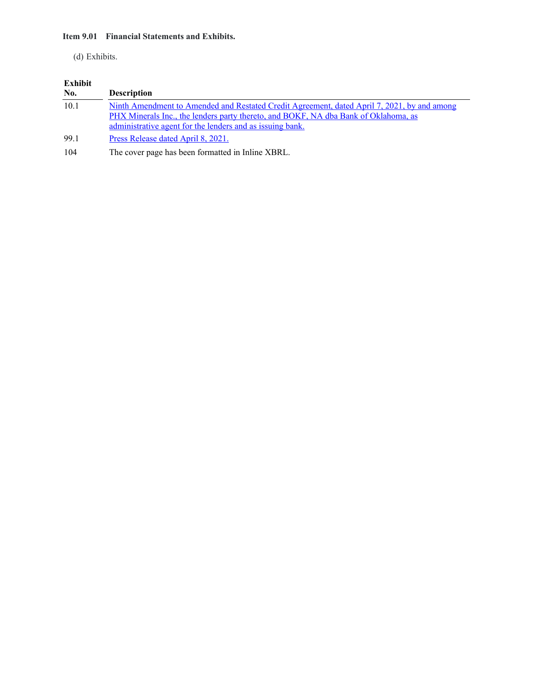#### **Item 9.01 Financial Statements and Exhibits.**

#### (d) Exhibits.

## **Exhibit**

| No.  | <b>Description</b>                                                                                                                                                                 |
|------|------------------------------------------------------------------------------------------------------------------------------------------------------------------------------------|
| 10.1 | Ninth Amendment to Amended and Restated Credit Agreement, dated April 7, 2021, by and among<br>PHX Minerals Inc., the lenders party thereto, and BOKF, NA dba Bank of Oklahoma, as |
|      | administrative agent for the lenders and as issuing bank.                                                                                                                          |
| 99.1 | Press Release dated April 8, 2021.                                                                                                                                                 |
| 104  | The cover page has been formatted in Inline XBRL.                                                                                                                                  |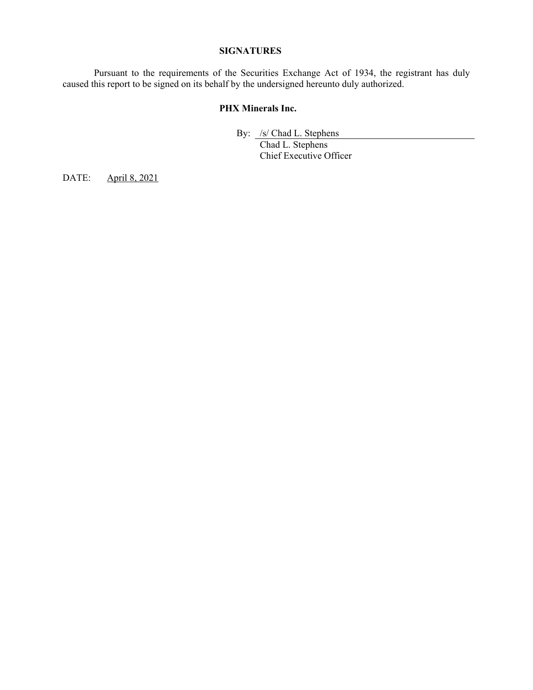#### **SIGNATURES**

 Pursuant to the requirements of the Securities Exchange Act of 1934, the registrant has duly caused this report to be signed on its behalf by the undersigned hereunto duly authorized.

#### **PHX Minerals Inc.**

By: /s/ Chad L. Stephens

 Chad L. Stephens Chief Executive Officer

DATE: April 8, 2021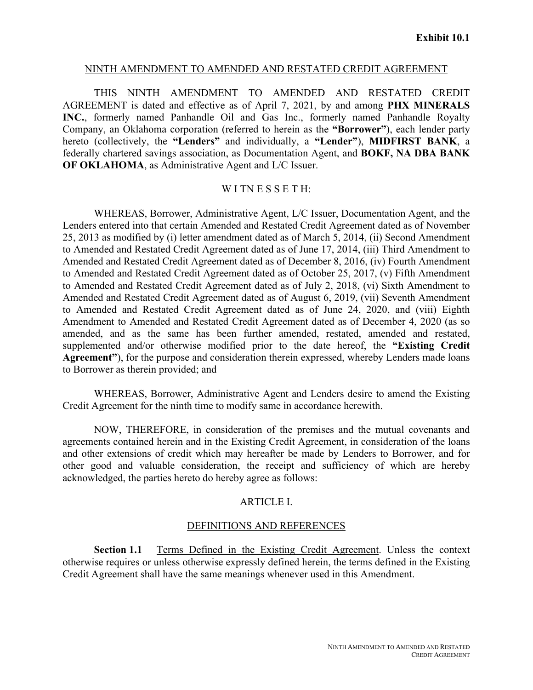#### NINTH AMENDMENT TO AMENDED AND RESTATED CREDIT AGREEMENT

THIS NINTH AMENDMENT TO AMENDED AND RESTATED CREDIT AGREEMENT is dated and effective as of April 7, 2021, by and among **PHX MINERALS INC.**, formerly named Panhandle Oil and Gas Inc., formerly named Panhandle Royalty Company, an Oklahoma corporation (referred to herein as the **"Borrower"**), each lender party hereto (collectively, the **"Lenders"** and individually, a **"Lender"**), **MIDFIRST BANK**, a federally chartered savings association, as Documentation Agent, and **BOKF, NA DBA BANK OF OKLAHOMA**, as Administrative Agent and L/C Issuer.

#### WITNESSETH:

WHEREAS, Borrower, Administrative Agent, L/C Issuer, Documentation Agent, and the Lenders entered into that certain Amended and Restated Credit Agreement dated as of November 25, 2013 as modified by (i) letter amendment dated as of March 5, 2014, (ii) Second Amendment to Amended and Restated Credit Agreement dated as of June 17, 2014, (iii) Third Amendment to Amended and Restated Credit Agreement dated as of December 8, 2016, (iv) Fourth Amendment to Amended and Restated Credit Agreement dated as of October 25, 2017, (v) Fifth Amendment to Amended and Restated Credit Agreement dated as of July 2, 2018, (vi) Sixth Amendment to Amended and Restated Credit Agreement dated as of August 6, 2019, (vii) Seventh Amendment to Amended and Restated Credit Agreement dated as of June 24, 2020, and (viii) Eighth Amendment to Amended and Restated Credit Agreement dated as of December 4, 2020 (as so amended, and as the same has been further amended, restated, amended and restated, supplemented and/or otherwise modified prior to the date hereof, the **"Existing Credit Agreement"**), for the purpose and consideration therein expressed, whereby Lenders made loans to Borrower as therein provided; and

WHEREAS, Borrower, Administrative Agent and Lenders desire to amend the Existing Credit Agreement for the ninth time to modify same in accordance herewith.

NOW, THEREFORE, in consideration of the premises and the mutual covenants and agreements contained herein and in the Existing Credit Agreement, in consideration of the loans and other extensions of credit which may hereafter be made by Lenders to Borrower, and for other good and valuable consideration, the receipt and sufficiency of which are hereby acknowledged, the parties hereto do hereby agree as follows:

#### ARTICLE I.

#### DEFINITIONS AND REFERENCES

**Section 1.1** Terms Defined in the Existing Credit Agreement. Unless the context otherwise requires or unless otherwise expressly defined herein, the terms defined in the Existing Credit Agreement shall have the same meanings whenever used in this Amendment.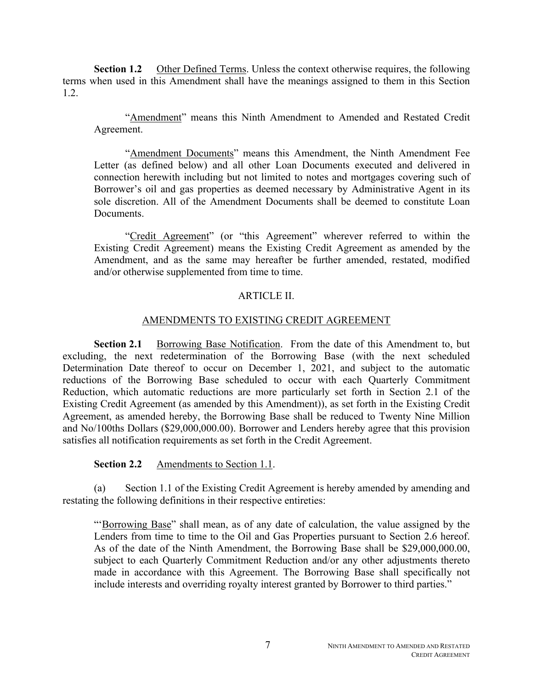**Section 1.2** Other Defined Terms. Unless the context otherwise requires, the following terms when used in this Amendment shall have the meanings assigned to them in this Section 1.2.

"Amendment" means this Ninth Amendment to Amended and Restated Credit Agreement.

"Amendment Documents" means this Amendment, the Ninth Amendment Fee Letter (as defined below) and all other Loan Documents executed and delivered in connection herewith including but not limited to notes and mortgages covering such of Borrower's oil and gas properties as deemed necessary by Administrative Agent in its sole discretion. All of the Amendment Documents shall be deemed to constitute Loan Documents.

"Credit Agreement" (or "this Agreement" wherever referred to within the Existing Credit Agreement) means the Existing Credit Agreement as amended by the Amendment, and as the same may hereafter be further amended, restated, modified and/or otherwise supplemented from time to time.

#### ARTICLE II.

#### AMENDMENTS TO EXISTING CREDIT AGREEMENT

**Section 2.1** Borrowing Base Notification. From the date of this Amendment to, but excluding, the next redetermination of the Borrowing Base (with the next scheduled Determination Date thereof to occur on December 1, 2021, and subject to the automatic reductions of the Borrowing Base scheduled to occur with each Quarterly Commitment Reduction, which automatic reductions are more particularly set forth in Section 2.1 of the Existing Credit Agreement (as amended by this Amendment)), as set forth in the Existing Credit Agreement, as amended hereby, the Borrowing Base shall be reduced to Twenty Nine Million and No/100ths Dollars (\$29,000,000.00). Borrower and Lenders hereby agree that this provision satisfies all notification requirements as set forth in the Credit Agreement.

**Section 2.2** Amendments to Section 1.1.

(a) Section 1.1 of the Existing Credit Agreement is hereby amended by amending and restating the following definitions in their respective entireties:

"'Borrowing Base" shall mean, as of any date of calculation, the value assigned by the Lenders from time to time to the Oil and Gas Properties pursuant to Section 2.6 hereof. As of the date of the Ninth Amendment, the Borrowing Base shall be \$29,000,000.00, subject to each Quarterly Commitment Reduction and/or any other adjustments thereto made in accordance with this Agreement. The Borrowing Base shall specifically not include interests and overriding royalty interest granted by Borrower to third parties."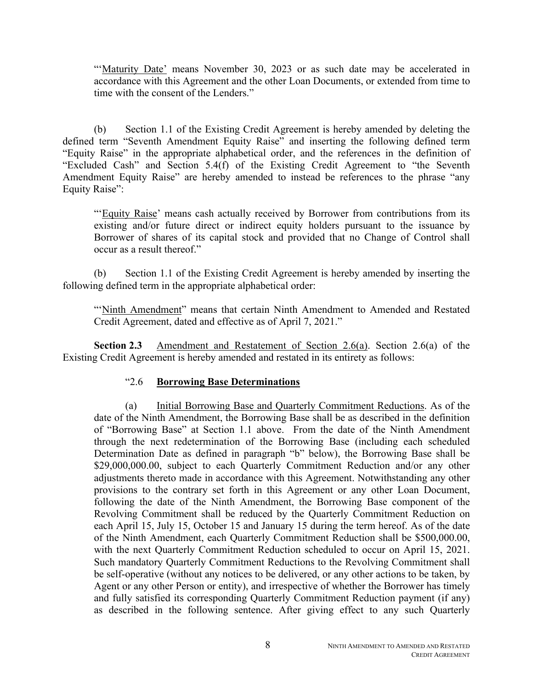"'Maturity Date' means November 30, 2023 or as such date may be accelerated in accordance with this Agreement and the other Loan Documents, or extended from time to time with the consent of the Lenders."

(b) Section 1.1 of the Existing Credit Agreement is hereby amended by deleting the defined term "Seventh Amendment Equity Raise" and inserting the following defined term "Equity Raise" in the appropriate alphabetical order, and the references in the definition of "Excluded Cash" and Section 5.4(f) of the Existing Credit Agreement to "the Seventh Amendment Equity Raise" are hereby amended to instead be references to the phrase "any Equity Raise":

"'Equity Raise' means cash actually received by Borrower from contributions from its existing and/or future direct or indirect equity holders pursuant to the issuance by Borrower of shares of its capital stock and provided that no Change of Control shall occur as a result thereof."

(b) Section 1.1 of the Existing Credit Agreement is hereby amended by inserting the following defined term in the appropriate alphabetical order:

"'Ninth Amendment" means that certain Ninth Amendment to Amended and Restated Credit Agreement, dated and effective as of April 7, 2021."

**Section 2.3** Amendment and Restatement of Section 2.6(a). Section 2.6(a) of the Existing Credit Agreement is hereby amended and restated in its entirety as follows:

## "2.6 **Borrowing Base Determinations**

(a) Initial Borrowing Base and Quarterly Commitment Reductions. As of the date of the Ninth Amendment, the Borrowing Base shall be as described in the definition of "Borrowing Base" at Section 1.1 above. From the date of the Ninth Amendment through the next redetermination of the Borrowing Base (including each scheduled Determination Date as defined in paragraph "b" below), the Borrowing Base shall be \$29,000,000.00, subject to each Quarterly Commitment Reduction and/or any other adjustments thereto made in accordance with this Agreement. Notwithstanding any other provisions to the contrary set forth in this Agreement or any other Loan Document, following the date of the Ninth Amendment, the Borrowing Base component of the Revolving Commitment shall be reduced by the Quarterly Commitment Reduction on each April 15, July 15, October 15 and January 15 during the term hereof. As of the date of the Ninth Amendment, each Quarterly Commitment Reduction shall be \$500,000.00, with the next Quarterly Commitment Reduction scheduled to occur on April 15, 2021. Such mandatory Quarterly Commitment Reductions to the Revolving Commitment shall be self-operative (without any notices to be delivered, or any other actions to be taken, by Agent or any other Person or entity), and irrespective of whether the Borrower has timely and fully satisfied its corresponding Quarterly Commitment Reduction payment (if any) as described in the following sentence. After giving effect to any such Quarterly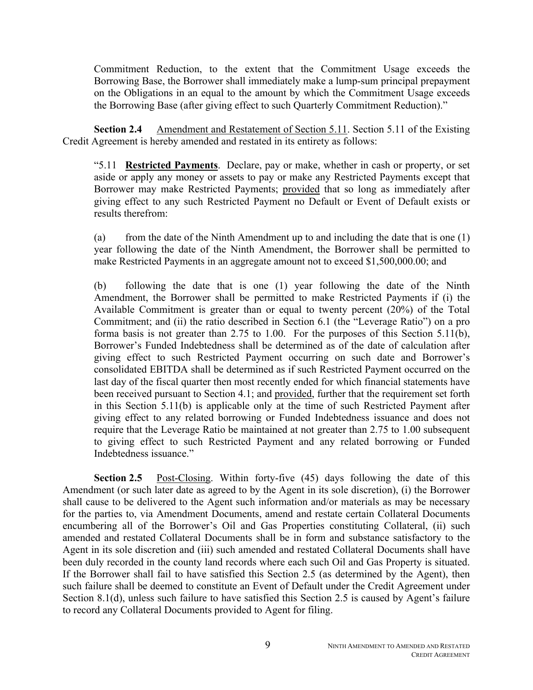Commitment Reduction, to the extent that the Commitment Usage exceeds the Borrowing Base, the Borrower shall immediately make a lump-sum principal prepayment on the Obligations in an equal to the amount by which the Commitment Usage exceeds the Borrowing Base (after giving effect to such Quarterly Commitment Reduction)."

**Section 2.4** Amendment and Restatement of Section 5.11. Section 5.11 of the Existing Credit Agreement is hereby amended and restated in its entirety as follows:

"5.11 **Restricted Payments**. Declare, pay or make, whether in cash or property, or set aside or apply any money or assets to pay or make any Restricted Payments except that Borrower may make Restricted Payments; provided that so long as immediately after giving effect to any such Restricted Payment no Default or Event of Default exists or results therefrom:

(a) from the date of the Ninth Amendment up to and including the date that is one (1) year following the date of the Ninth Amendment, the Borrower shall be permitted to make Restricted Payments in an aggregate amount not to exceed \$1,500,000.00; and

(b) following the date that is one (1) year following the date of the Ninth Amendment, the Borrower shall be permitted to make Restricted Payments if (i) the Available Commitment is greater than or equal to twenty percent (20%) of the Total Commitment; and (ii) the ratio described in Section 6.1 (the "Leverage Ratio") on a pro forma basis is not greater than 2.75 to 1.00. For the purposes of this Section 5.11(b), Borrower's Funded Indebtedness shall be determined as of the date of calculation after giving effect to such Restricted Payment occurring on such date and Borrower's consolidated EBITDA shall be determined as if such Restricted Payment occurred on the last day of the fiscal quarter then most recently ended for which financial statements have been received pursuant to Section 4.1; and provided, further that the requirement set forth in this Section 5.11(b) is applicable only at the time of such Restricted Payment after giving effect to any related borrowing or Funded Indebtedness issuance and does not require that the Leverage Ratio be maintained at not greater than 2.75 to 1.00 subsequent to giving effect to such Restricted Payment and any related borrowing or Funded Indebtedness issuance."

**Section 2.5** Post-Closing. Within forty-five (45) days following the date of this Amendment (or such later date as agreed to by the Agent in its sole discretion), (i) the Borrower shall cause to be delivered to the Agent such information and/or materials as may be necessary for the parties to, via Amendment Documents, amend and restate certain Collateral Documents encumbering all of the Borrower's Oil and Gas Properties constituting Collateral, (ii) such amended and restated Collateral Documents shall be in form and substance satisfactory to the Agent in its sole discretion and (iii) such amended and restated Collateral Documents shall have been duly recorded in the county land records where each such Oil and Gas Property is situated. If the Borrower shall fail to have satisfied this Section 2.5 (as determined by the Agent), then such failure shall be deemed to constitute an Event of Default under the Credit Agreement under Section 8.1(d), unless such failure to have satisfied this Section 2.5 is caused by Agent's failure to record any Collateral Documents provided to Agent for filing.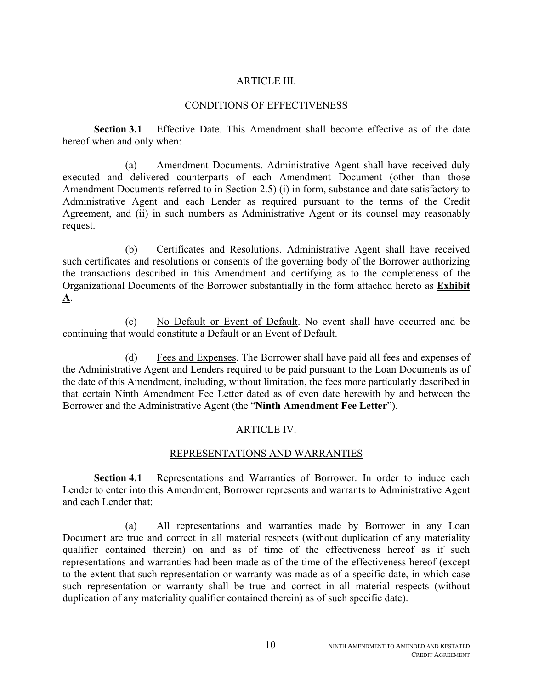#### ARTICLE III.

#### CONDITIONS OF EFFECTIVENESS

**Section 3.1** Effective Date. This Amendment shall become effective as of the date hereof when and only when:

(a) Amendment Documents. Administrative Agent shall have received duly executed and delivered counterparts of each Amendment Document (other than those Amendment Documents referred to in Section 2.5) (i) in form, substance and date satisfactory to Administrative Agent and each Lender as required pursuant to the terms of the Credit Agreement, and (ii) in such numbers as Administrative Agent or its counsel may reasonably request.

(b) Certificates and Resolutions. Administrative Agent shall have received such certificates and resolutions or consents of the governing body of the Borrower authorizing the transactions described in this Amendment and certifying as to the completeness of the Organizational Documents of the Borrower substantially in the form attached hereto as **Exhibit A**.

(c) No Default or Event of Default. No event shall have occurred and be continuing that would constitute a Default or an Event of Default.

(d) Fees and Expenses. The Borrower shall have paid all fees and expenses of the Administrative Agent and Lenders required to be paid pursuant to the Loan Documents as of the date of this Amendment, including, without limitation, the fees more particularly described in that certain Ninth Amendment Fee Letter dated as of even date herewith by and between the Borrower and the Administrative Agent (the "**Ninth Amendment Fee Letter**").

#### ARTICLE IV.

#### REPRESENTATIONS AND WARRANTIES

**Section 4.1** Representations and Warranties of Borrower. In order to induce each Lender to enter into this Amendment, Borrower represents and warrants to Administrative Agent and each Lender that:

(a) All representations and warranties made by Borrower in any Loan Document are true and correct in all material respects (without duplication of any materiality qualifier contained therein) on and as of time of the effectiveness hereof as if such representations and warranties had been made as of the time of the effectiveness hereof (except to the extent that such representation or warranty was made as of a specific date, in which case such representation or warranty shall be true and correct in all material respects (without duplication of any materiality qualifier contained therein) as of such specific date).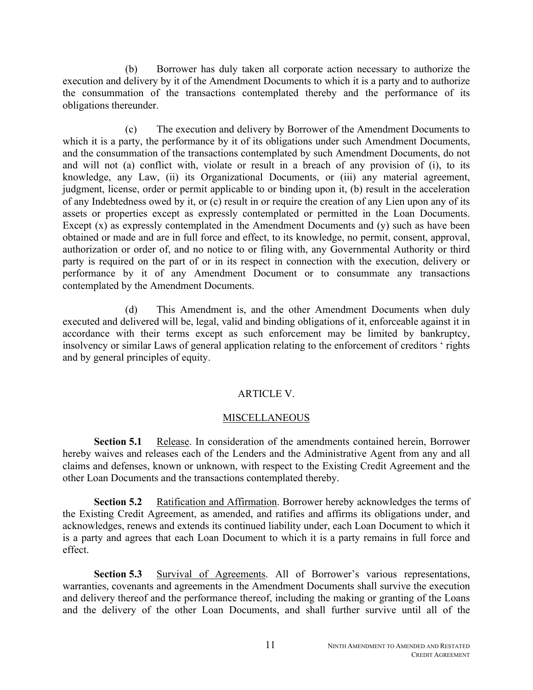(b) Borrower has duly taken all corporate action necessary to authorize the execution and delivery by it of the Amendment Documents to which it is a party and to authorize the consummation of the transactions contemplated thereby and the performance of its obligations thereunder.

(c) The execution and delivery by Borrower of the Amendment Documents to which it is a party, the performance by it of its obligations under such Amendment Documents, and the consummation of the transactions contemplated by such Amendment Documents, do not and will not (a) conflict with, violate or result in a breach of any provision of (i), to its knowledge, any Law, (ii) its Organizational Documents, or (iii) any material agreement, judgment, license, order or permit applicable to or binding upon it, (b) result in the acceleration of any Indebtedness owed by it, or (c) result in or require the creation of any Lien upon any of its assets or properties except as expressly contemplated or permitted in the Loan Documents. Except  $(x)$  as expressly contemplated in the Amendment Documents and  $(y)$  such as have been obtained or made and are in full force and effect, to its knowledge, no permit, consent, approval, authorization or order of, and no notice to or filing with, any Governmental Authority or third party is required on the part of or in its respect in connection with the execution, delivery or performance by it of any Amendment Document or to consummate any transactions contemplated by the Amendment Documents.

(d) This Amendment is, and the other Amendment Documents when duly executed and delivered will be, legal, valid and binding obligations of it, enforceable against it in accordance with their terms except as such enforcement may be limited by bankruptcy, insolvency or similar Laws of general application relating to the enforcement of creditors ' rights and by general principles of equity.

#### ARTICLE V.

#### **MISCELLANEOUS**

**Section 5.1** Release. In consideration of the amendments contained herein, Borrower hereby waives and releases each of the Lenders and the Administrative Agent from any and all claims and defenses, known or unknown, with respect to the Existing Credit Agreement and the other Loan Documents and the transactions contemplated thereby.

**Section 5.2** Ratification and Affirmation. Borrower hereby acknowledges the terms of the Existing Credit Agreement, as amended, and ratifies and affirms its obligations under, and acknowledges, renews and extends its continued liability under, each Loan Document to which it is a party and agrees that each Loan Document to which it is a party remains in full force and effect.

**Section 5.3** Survival of Agreements. All of Borrower's various representations, warranties, covenants and agreements in the Amendment Documents shall survive the execution and delivery thereof and the performance thereof, including the making or granting of the Loans and the delivery of the other Loan Documents, and shall further survive until all of the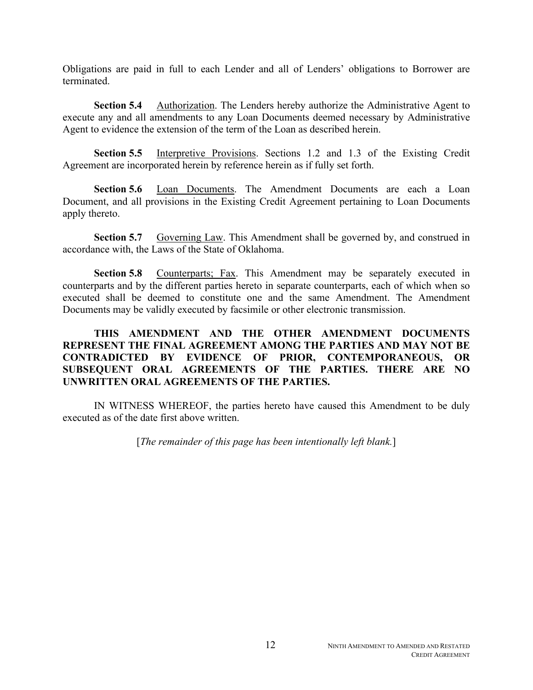Obligations are paid in full to each Lender and all of Lenders' obligations to Borrower are terminated.

**Section 5.4** Authorization. The Lenders hereby authorize the Administrative Agent to execute any and all amendments to any Loan Documents deemed necessary by Administrative Agent to evidence the extension of the term of the Loan as described herein.

**Section 5.5** Interpretive Provisions. Sections 1.2 and 1.3 of the Existing Credit Agreement are incorporated herein by reference herein as if fully set forth.

**Section 5.6** Loan Documents. The Amendment Documents are each a Loan Document, and all provisions in the Existing Credit Agreement pertaining to Loan Documents apply thereto.

**Section 5.7** Governing Law. This Amendment shall be governed by, and construed in accordance with, the Laws of the State of Oklahoma.

**Section 5.8** Counterparts; Fax. This Amendment may be separately executed in counterparts and by the different parties hereto in separate counterparts, each of which when so executed shall be deemed to constitute one and the same Amendment. The Amendment Documents may be validly executed by facsimile or other electronic transmission.

### **THIS AMENDMENT AND THE OTHER AMENDMENT DOCUMENTS REPRESENT THE FINAL AGREEMENT AMONG THE PARTIES AND MAY NOT BE CONTRADICTED BY EVIDENCE OF PRIOR, CONTEMPORANEOUS, OR SUBSEQUENT ORAL AGREEMENTS OF THE PARTIES. THERE ARE NO UNWRITTEN ORAL AGREEMENTS OF THE PARTIES.**

IN WITNESS WHEREOF, the parties hereto have caused this Amendment to be duly executed as of the date first above written.

[*The remainder of this page has been intentionally left blank.*]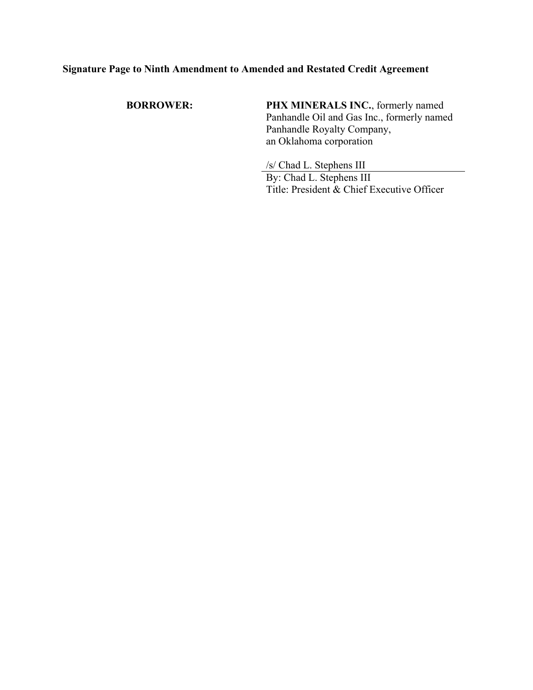**BORROWER: PHX MINERALS INC.**, formerly named Panhandle Oil and Gas Inc., formerly named Panhandle Royalty Company, an Oklahoma corporation

> /s/ Chad L. Stephens III By: Chad L. Stephens III Title: President & Chief Executive Officer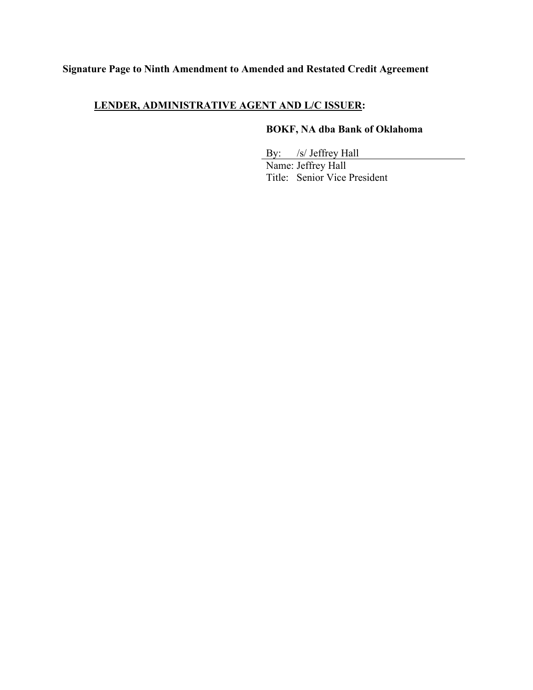## **LENDER, ADMINISTRATIVE AGENT AND L/C ISSUER:**

## **BOKF, NA dba Bank of Oklahoma**

 By: /s/ Jeffrey Hall Name: Jeffrey Hall Title: Senior Vice President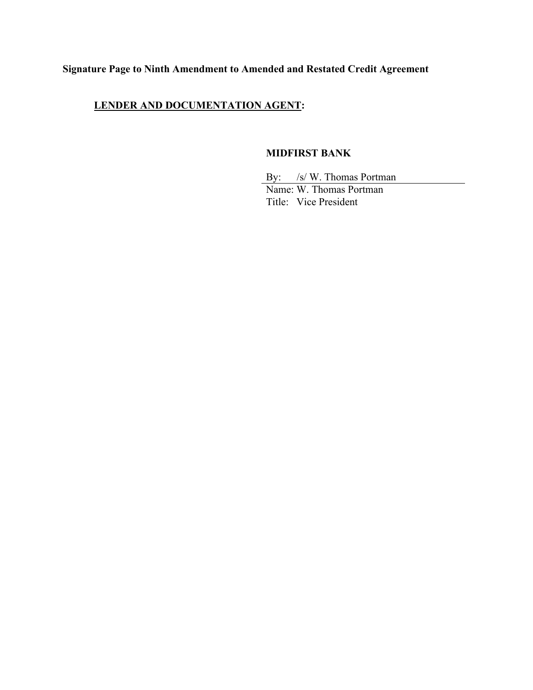## **LENDER AND DOCUMENTATION AGENT:**

### **MIDFIRST BANK**

By: /s/ W. Thomas Portman

 Name: W. Thomas Portman Title: Vice President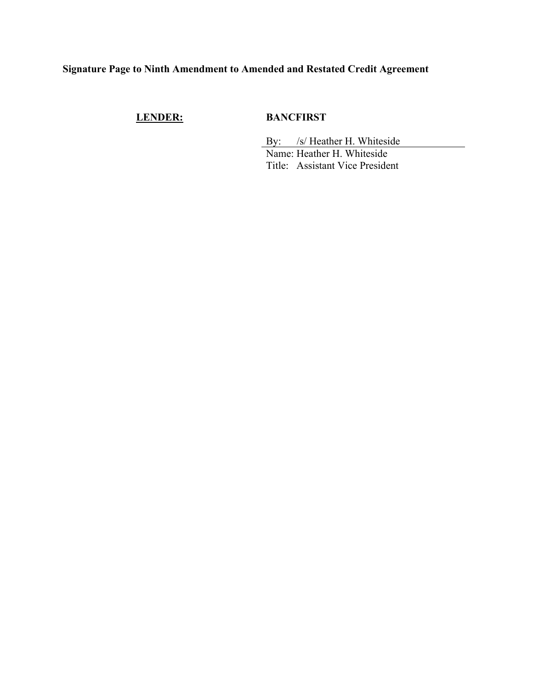## **LENDER: BANCFIRST**

By: /s/ Heather H. Whiteside Name: Heather H. Whiteside Title: Assistant Vice President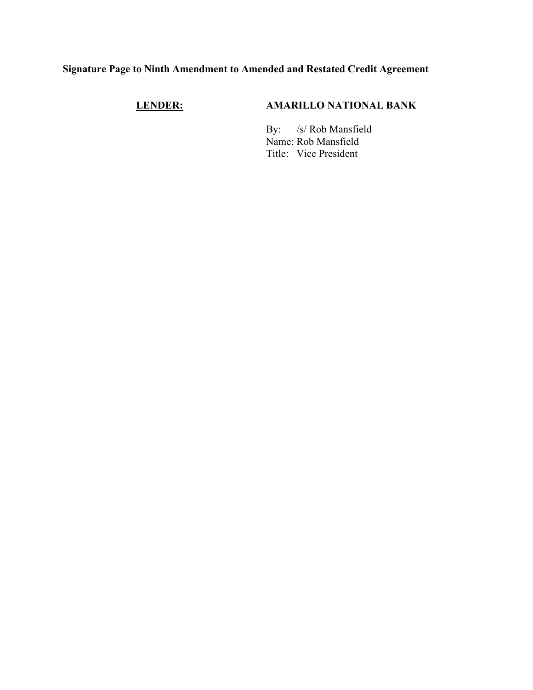## **LENDER: AMARILLO NATIONAL BANK**

By: /s/ Rob Mansfield

 Name: Rob Mansfield Title: Vice President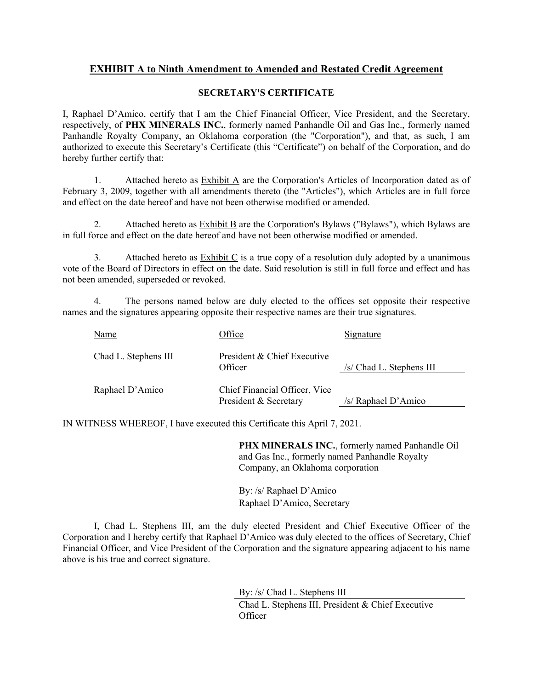### **EXHIBIT A to Ninth Amendment to Amended and Restated Credit Agreement**

#### **SECRETARY'S CERTIFICATE**

I, Raphael D'Amico, certify that I am the Chief Financial Officer, Vice President, and the Secretary, respectively, of **PHX MINERALS INC.**, formerly named Panhandle Oil and Gas Inc., formerly named Panhandle Royalty Company, an Oklahoma corporation (the "Corporation"), and that, as such, I am authorized to execute this Secretary's Certificate (this "Certificate") on behalf of the Corporation, and do hereby further certify that:

1. Attached hereto as Exhibit A are the Corporation's Articles of Incorporation dated as of February 3, 2009, together with all amendments thereto (the "Articles"), which Articles are in full force and effect on the date hereof and have not been otherwise modified or amended.

2. Attached hereto as  $Exhibit B$  are the Corporation's Bylaws ("Bylaws"), which Bylaws are in full force and effect on the date hereof and have not been otherwise modified or amended.

3. Attached hereto as Exhibit C is a true copy of a resolution duly adopted by a unanimous vote of the Board of Directors in effect on the date. Said resolution is still in full force and effect and has not been amended, superseded or revoked.

4. The persons named below are duly elected to the offices set opposite their respective names and the signatures appearing opposite their respective names are their true signatures.

| Name                 | <b>Office</b>                                          | <u>Signature</u>          |
|----------------------|--------------------------------------------------------|---------------------------|
| Chad L. Stephens III | President & Chief Executive<br>Officer                 | $/s$ Chad L. Stephens III |
| Raphael D'Amico      | Chief Financial Officer, Vice<br>President & Secretary | /s/ Raphael D'Amico       |

IN WITNESS WHEREOF, I have executed this Certificate this April 7, 2021.

**PHX MINERALS INC.**, formerly named Panhandle Oil and Gas Inc., formerly named Panhandle Royalty Company, an Oklahoma corporation

By: /s/ Raphael D'Amico Raphael D'Amico, Secretary

 I, Chad L. Stephens III, am the duly elected President and Chief Executive Officer of the Corporation and I hereby certify that Raphael D'Amico was duly elected to the offices of Secretary, Chief Financial Officer, and Vice President of the Corporation and the signature appearing adjacent to his name above is his true and correct signature.

> By: /s/ Chad L. Stephens III Chad L. Stephens III, President & Chief Executive **Officer**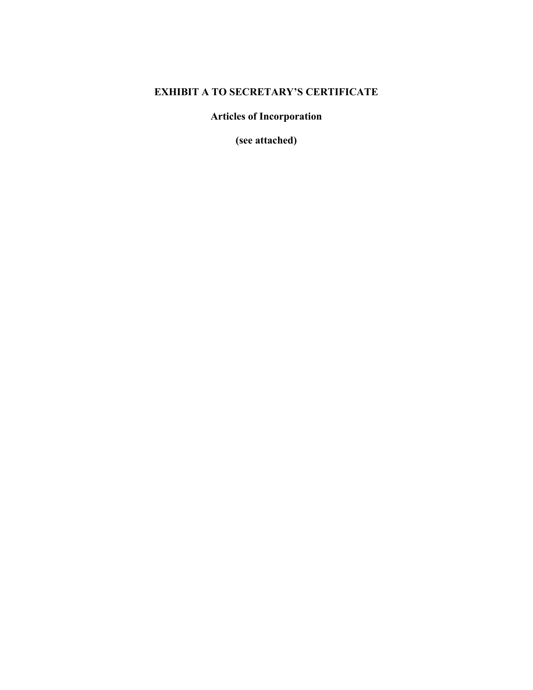## **EXHIBIT A TO SECRETARY'S CERTIFICATE**

**Articles of Incorporation** 

**(see attached)**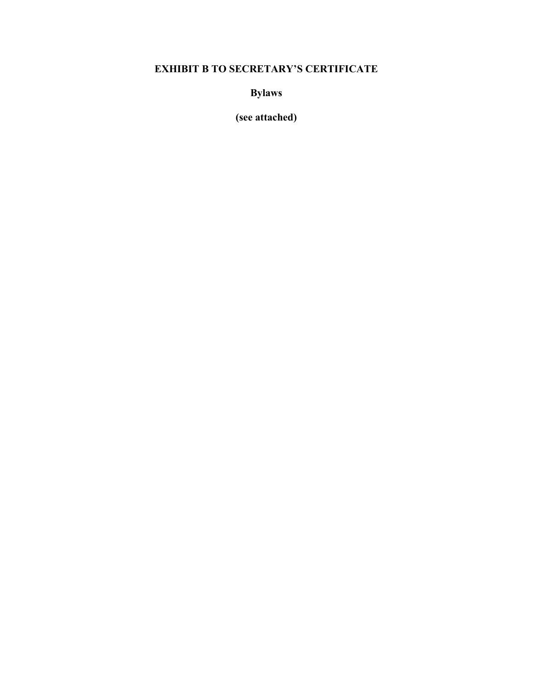# **EXHIBIT B TO SECRETARY'S CERTIFICATE**

**Bylaws** 

**(see attached)**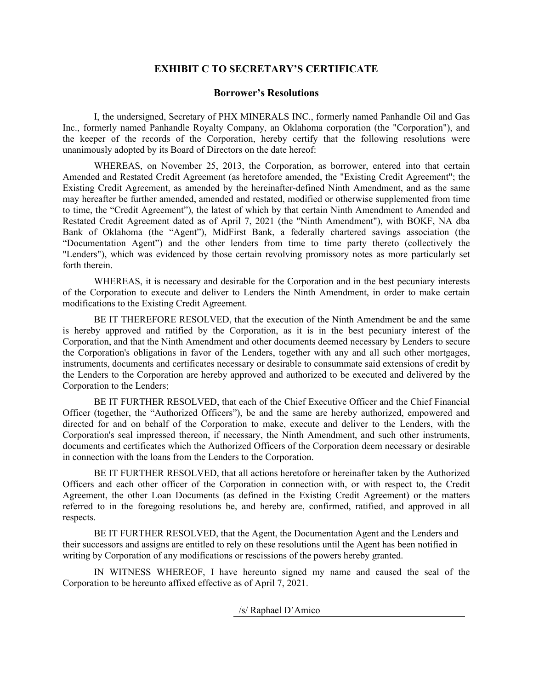### **EXHIBIT C TO SECRETARY'S CERTIFICATE**

#### **Borrower's Resolutions**

I, the undersigned, Secretary of PHX MINERALS INC., formerly named Panhandle Oil and Gas Inc., formerly named Panhandle Royalty Company, an Oklahoma corporation (the "Corporation"), and the keeper of the records of the Corporation, hereby certify that the following resolutions were unanimously adopted by its Board of Directors on the date hereof:

WHEREAS, on November 25, 2013, the Corporation, as borrower, entered into that certain Amended and Restated Credit Agreement (as heretofore amended, the "Existing Credit Agreement"; the Existing Credit Agreement, as amended by the hereinafter-defined Ninth Amendment, and as the same may hereafter be further amended, amended and restated, modified or otherwise supplemented from time to time, the "Credit Agreement"), the latest of which by that certain Ninth Amendment to Amended and Restated Credit Agreement dated as of April 7, 2021 (the "Ninth Amendment"), with BOKF, NA dba Bank of Oklahoma (the "Agent"), MidFirst Bank, a federally chartered savings association (the "Documentation Agent") and the other lenders from time to time party thereto (collectively the "Lenders"), which was evidenced by those certain revolving promissory notes as more particularly set forth therein.

WHEREAS, it is necessary and desirable for the Corporation and in the best pecuniary interests of the Corporation to execute and deliver to Lenders the Ninth Amendment, in order to make certain modifications to the Existing Credit Agreement.

BE IT THEREFORE RESOLVED, that the execution of the Ninth Amendment be and the same is hereby approved and ratified by the Corporation, as it is in the best pecuniary interest of the Corporation, and that the Ninth Amendment and other documents deemed necessary by Lenders to secure the Corporation's obligations in favor of the Lenders, together with any and all such other mortgages, instruments, documents and certificates necessary or desirable to consummate said extensions of credit by the Lenders to the Corporation are hereby approved and authorized to be executed and delivered by the Corporation to the Lenders;

BE IT FURTHER RESOLVED, that each of the Chief Executive Officer and the Chief Financial Officer (together, the "Authorized Officers"), be and the same are hereby authorized, empowered and directed for and on behalf of the Corporation to make, execute and deliver to the Lenders, with the Corporation's seal impressed thereon, if necessary, the Ninth Amendment, and such other instruments, documents and certificates which the Authorized Officers of the Corporation deem necessary or desirable in connection with the loans from the Lenders to the Corporation.

BE IT FURTHER RESOLVED, that all actions heretofore or hereinafter taken by the Authorized Officers and each other officer of the Corporation in connection with, or with respect to, the Credit Agreement, the other Loan Documents (as defined in the Existing Credit Agreement) or the matters referred to in the foregoing resolutions be, and hereby are, confirmed, ratified, and approved in all respects.

BE IT FURTHER RESOLVED, that the Agent, the Documentation Agent and the Lenders and their successors and assigns are entitled to rely on these resolutions until the Agent has been notified in writing by Corporation of any modifications or rescissions of the powers hereby granted.

IN WITNESS WHEREOF, I have hereunto signed my name and caused the seal of the Corporation to be hereunto affixed effective as of April 7, 2021.

/s/ Raphael D'Amico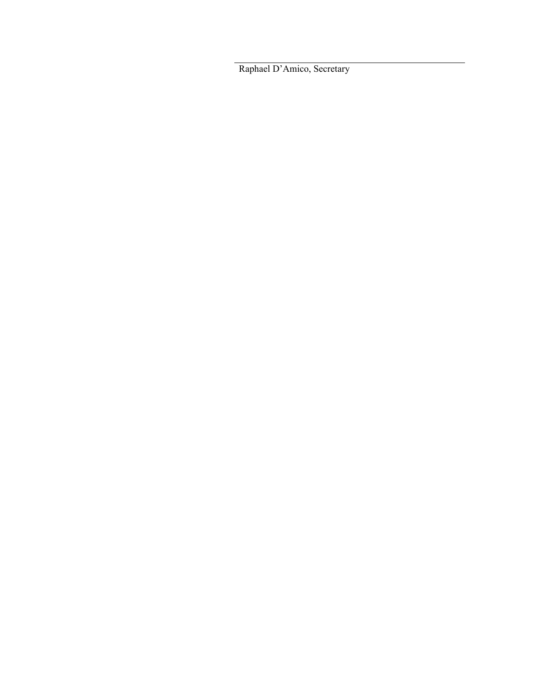Raphael D'Amico, Secretary